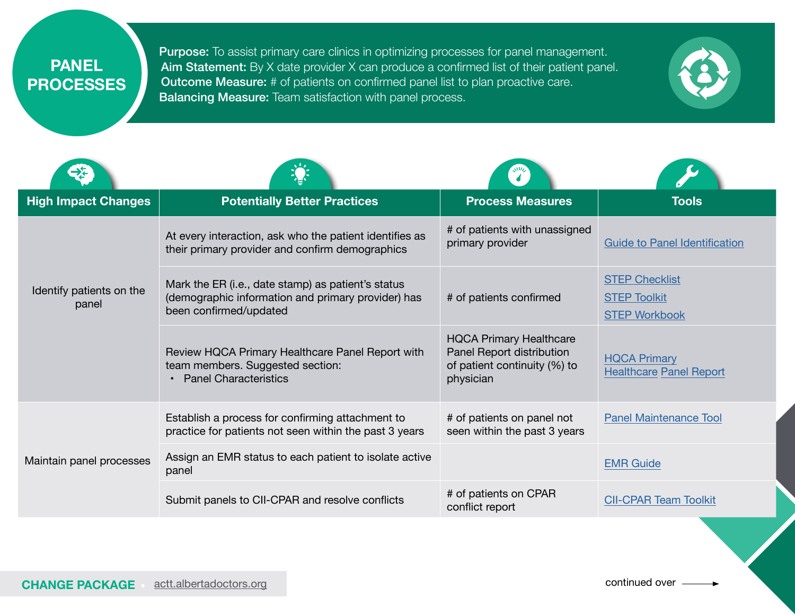**PANEL PROCESSES** Purpose: To assist primary care clinics in optimizing processes for panel management. Aim Statement: By X date provider X can produce a confirmed list of their patient panel. Outcome Measure: # of patients on confirmed panel list to plan proactive care. Balancing Measure: Team satisfaction with panel process.



| <b>High Impact Changes</b>        | <b>Potentially Better Practices</b>                                                                                                | <b>Process Measures</b>                                                                                  | <b>Tools</b>                                                         |
|-----------------------------------|------------------------------------------------------------------------------------------------------------------------------------|----------------------------------------------------------------------------------------------------------|----------------------------------------------------------------------|
| Identify patients on the<br>panel | At every interaction, ask who the patient identifies as<br>their primary provider and confirm demographics                         | # of patients with unassigned<br>primary provider                                                        | <b>Guide to Panel Identification</b>                                 |
|                                   | Mark the ER (i.e., date stamp) as patient's status<br>(demographic information and primary provider) has<br>been confirmed/updated | # of patients confirmed                                                                                  | <b>STEP Checklist</b><br><b>STEP Toolkit</b><br><b>STEP Workbook</b> |
|                                   | Review HQCA Primary Healthcare Panel Report with<br>team members. Suggested section:<br><b>Panel Characteristics</b>               | <b>HQCA Primary Healthcare</b><br>Panel Report distribution<br>of patient continuity (%) to<br>physician | <b>HQCA Primary</b><br><b>Healthcare Panel Report</b>                |
| Maintain panel processes          | Establish a process for confirming attachment to<br>practice for patients not seen within the past 3 years                         | # of patients on panel not<br>seen within the past 3 years                                               | <b>Panel Maintenance Tool</b>                                        |
|                                   | Assign an EMR status to each patient to isolate active<br>panel                                                                    |                                                                                                          | <b>EMR Guide</b>                                                     |
|                                   | Submit panels to CII-CPAR and resolve conflicts                                                                                    | # of patients on CPAR<br>conflict report                                                                 | <b>CII-CPAR Team Toolkit</b>                                         |